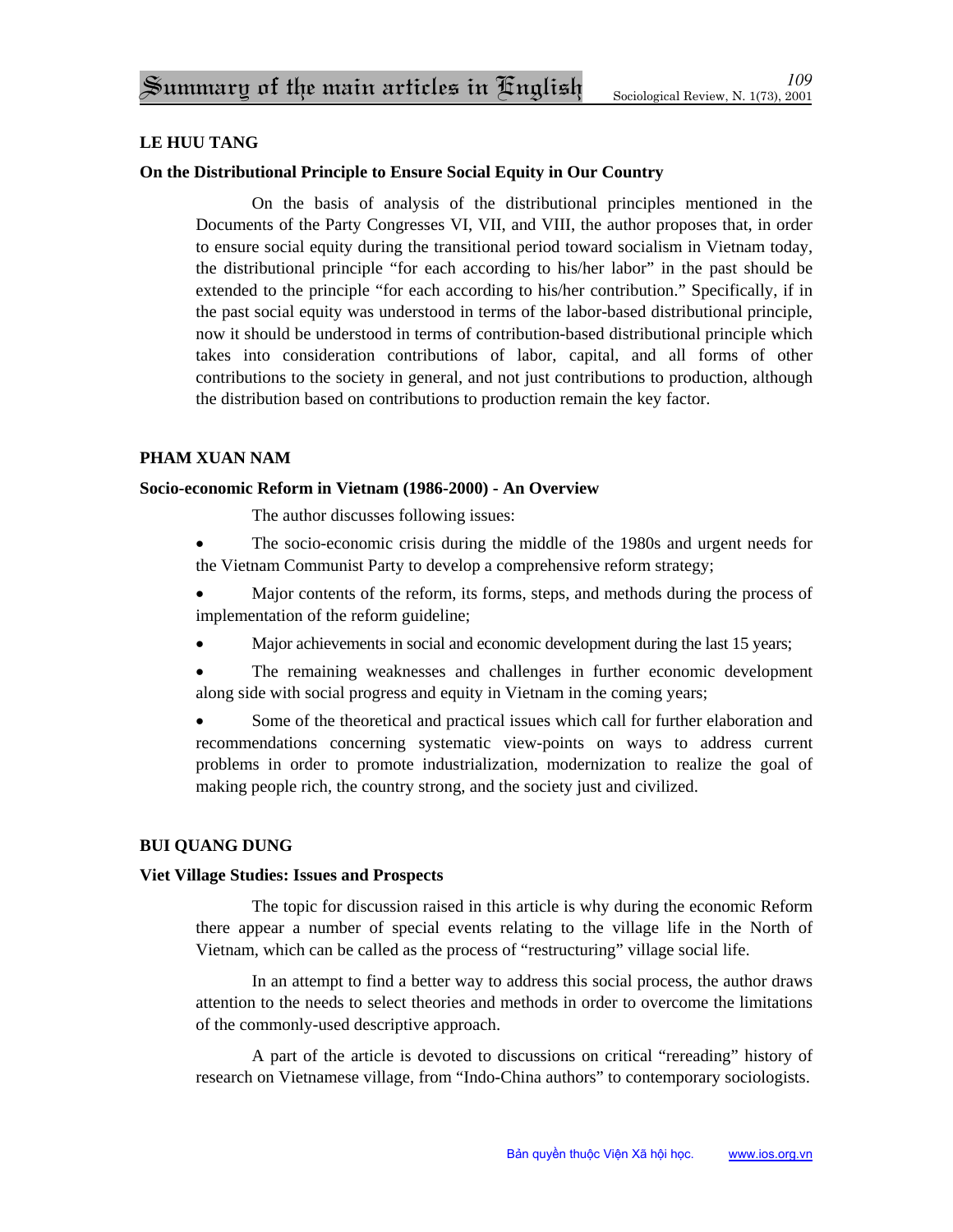# **LE HUU TANG**

## **On the Distributional Principle to Ensure Social Equity in Our Country**

On the basis of analysis of the distributional principles mentioned in the Documents of the Party Congresses VI, VII, and VIII, the author proposes that, in order to ensure social equity during the transitional period toward socialism in Vietnam today, the distributional principle "for each according to his/her labor" in the past should be extended to the principle "for each according to his/her contribution." Specifically, if in the past social equity was understood in terms of the labor-based distributional principle, now it should be understood in terms of contribution-based distributional principle which takes into consideration contributions of labor, capital, and all forms of other contributions to the society in general, and not just contributions to production, although the distribution based on contributions to production remain the key factor.

## **PHAM XUAN NAM**

## **Socio-economic Reform in Vietnam (1986-2000) - An Overview**

The author discusses following issues:

- The socio-economic crisis during the middle of the 1980s and urgent needs for the Vietnam Communist Party to develop a comprehensive reform strategy;
- Major contents of the reform, its forms, steps, and methods during the process of implementation of the reform guideline;
- Major achievements in social and economic development during the last 15 years;
- The remaining weaknesses and challenges in further economic development along side with social progress and equity in Vietnam in the coming years;

• Some of the theoretical and practical issues which call for further elaboration and recommendations concerning systematic view-points on ways to address current problems in order to promote industrialization, modernization to realize the goal of making people rich, the country strong, and the society just and civilized.

## **BUI QUANG DUNG**

#### **Viet Village Studies: Issues and Prospects**

The topic for discussion raised in this article is why during the economic Reform there appear a number of special events relating to the village life in the North of Vietnam, which can be called as the process of "restructuring" village social life.

In an attempt to find a better way to address this social process, the author draws attention to the needs to select theories and methods in order to overcome the limitations of the commonly-used descriptive approach.

A part of the article is devoted to discussions on critical "rereading" history of research on Vietnamese village, from "Indo-China authors" to contemporary sociologists.